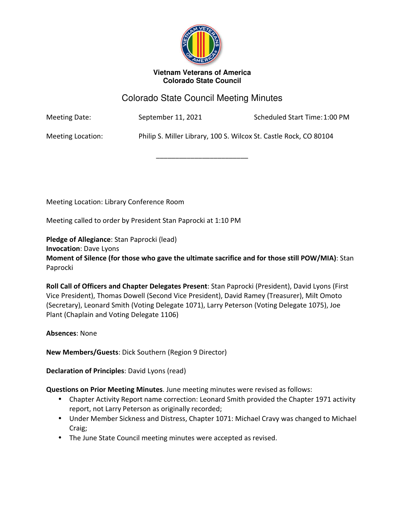

#### **Vietnam Veterans of America Colorado State Council**

# Colorado State Council Meeting Minutes

\_\_\_\_\_\_\_\_\_\_\_\_\_\_\_\_\_\_\_\_\_\_\_\_

Meeting Date: September 11, 2021 Scheduled Start Time: 1:00 PM

Meeting Location: Philip S. Miller Library, 100 S. Wilcox St. Castle Rock, CO 80104

Meeting Location: Library Conference Room

Meeting called to order by President Stan Paprocki at 1:10 PM

**Pledge of Allegiance**: Stan Paprocki (lead)

**Invocation**: Dave Lyons

**Moment of Silence (for those who gave the ultimate sacrifice and for those still POW/MIA)**: Stan Paprocki

**Roll Call of Officers and Chapter Delegates Present**: Stan Paprocki (President), David Lyons (First Vice President), Thomas Dowell (Second Vice President), David Ramey (Treasurer), Milt Omoto (Secretary), Leonard Smith (Voting Delegate 1071), Larry Peterson (Voting Delegate 1075), Joe Plant (Chaplain and Voting Delegate 1106)

**Absences**: None

**New Members/Guests**: Dick Southern (Region 9 Director)

**Declaration of Principles**: David Lyons (read)

**Questions on Prior Meeting Minutes**. June meeting minutes were revised as follows:

- Chapter Activity Report name correction: Leonard Smith provided the Chapter 1971 activity report, not Larry Peterson as originally recorded;
- Under Member Sickness and Distress, Chapter 1071: Michael Cravy was changed to Michael Craig;
- The June State Council meeting minutes were accepted as revised.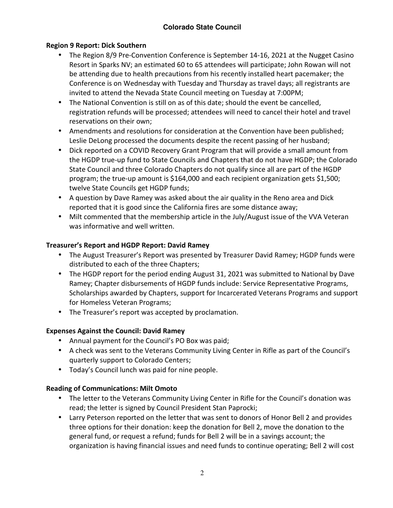### **Region 9 Report: Dick Southern**

- The Region 8/9 Pre-Convention Conference is September 14-16, 2021 at the Nugget Casino Resort in Sparks NV; an estimated 60 to 65 attendees will participate; John Rowan will not be attending due to health precautions from his recently installed heart pacemaker; the Conference is on Wednesday with Tuesday and Thursday as travel days; all registrants are invited to attend the Nevada State Council meeting on Tuesday at 7:00PM;
- The National Convention is still on as of this date; should the event be cancelled, registration refunds will be processed; attendees will need to cancel their hotel and travel reservations on their own;
- Amendments and resolutions for consideration at the Convention have been published; Leslie DeLong processed the documents despite the recent passing of her husband;
- Dick reported on a COVID Recovery Grant Program that will provide a small amount from the HGDP true-up fund to State Councils and Chapters that do not have HGDP; the Colorado State Council and three Colorado Chapters do not qualify since all are part of the HGDP program; the true-up amount is \$164,000 and each recipient organization gets \$1,500; twelve State Councils get HGDP funds;
- A question by Dave Ramey was asked about the air quality in the Reno area and Dick reported that it is good since the California fires are some distance away;
- Milt commented that the membership article in the July/August issue of the VVA Veteran was informative and well written.

### **Treasurer's Report and HGDP Report: David Ramey**

- The August Treasurer's Report was presented by Treasurer David Ramey; HGDP funds were distributed to each of the three Chapters;
- The HGDP report for the period ending August 31, 2021 was submitted to National by Dave Ramey; Chapter disbursements of HGDP funds include: Service Representative Programs, Scholarships awarded by Chapters, support for Incarcerated Veterans Programs and support for Homeless Veteran Programs;
- The Treasurer's report was accepted by proclamation.

#### **Expenses Against the Council: David Ramey**

- Annual payment for the Council's PO Box was paid;
- A check was sent to the Veterans Community Living Center in Rifle as part of the Council's quarterly support to Colorado Centers;
- Today's Council lunch was paid for nine people.

## **Reading of Communications: Milt Omoto**

- The letter to the Veterans Community Living Center in Rifle for the Council's donation was read; the letter is signed by Council President Stan Paprocki;
- Larry Peterson reported on the letter that was sent to donors of Honor Bell 2 and provides three options for their donation: keep the donation for Bell 2, move the donation to the general fund, or request a refund; funds for Bell 2 will be in a savings account; the organization is having financial issues and need funds to continue operating; Bell 2 will cost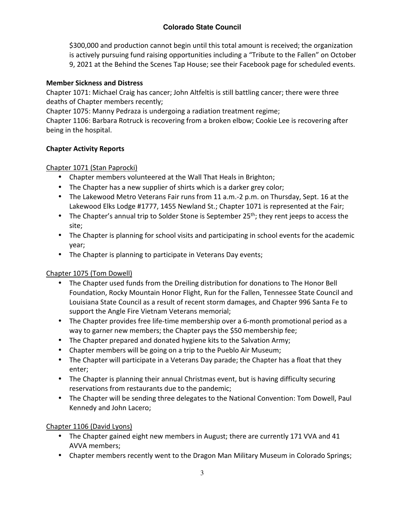### **Colorado State Council**

\$300,000 and production cannot begin until this total amount is received; the organization is actively pursuing fund raising opportunities including a "Tribute to the Fallen" on October 9, 2021 at the Behind the Scenes Tap House; see their Facebook page for scheduled events.

#### **Member Sickness and Distress**

Chapter 1071: Michael Craig has cancer; John Altfeltis is still battling cancer; there were three deaths of Chapter members recently;

Chapter 1075: Manny Pedraza is undergoing a radiation treatment regime;

Chapter 1106: Barbara Rotruck is recovering from a broken elbow; Cookie Lee is recovering after being in the hospital.

#### **Chapter Activity Reports**

#### Chapter 1071 (Stan Paprocki)

- Chapter members volunteered at the Wall That Heals in Brighton;
- The Chapter has a new supplier of shirts which is a darker grey color;
- The Lakewood Metro Veterans Fair runs from 11 a.m.-2 p.m. on Thursday, Sept. 16 at the Lakewood Elks Lodge #1777, 1455 Newland St.; Chapter 1071 is represented at the Fair;
- The Chapter's annual trip to Solder Stone is September 25<sup>th</sup>; they rent jeeps to access the site;
- The Chapter is planning for school visits and participating in school events for the academic year;
- The Chapter is planning to participate in Veterans Day events;

#### Chapter 1075 (Tom Dowell)

- The Chapter used funds from the Dreiling distribution for donations to The Honor Bell Foundation, Rocky Mountain Honor Flight, Run for the Fallen, Tennessee State Council and Louisiana State Council as a result of recent storm damages, and Chapter 996 Santa Fe to support the Angle Fire Vietnam Veterans memorial;
- The Chapter provides free life-time membership over a 6-month promotional period as a way to garner new members; the Chapter pays the \$50 membership fee;
- The Chapter prepared and donated hygiene kits to the Salvation Army;
- Chapter members will be going on a trip to the Pueblo Air Museum;
- The Chapter will participate in a Veterans Day parade; the Chapter has a float that they enter;
- The Chapter is planning their annual Christmas event, but is having difficulty securing reservations from restaurants due to the pandemic;
- The Chapter will be sending three delegates to the National Convention: Tom Dowell, Paul Kennedy and John Lacero;

#### Chapter 1106 (David Lyons)

- The Chapter gained eight new members in August; there are currently 171 VVA and 41 AVVA members;
- Chapter members recently went to the Dragon Man Military Museum in Colorado Springs;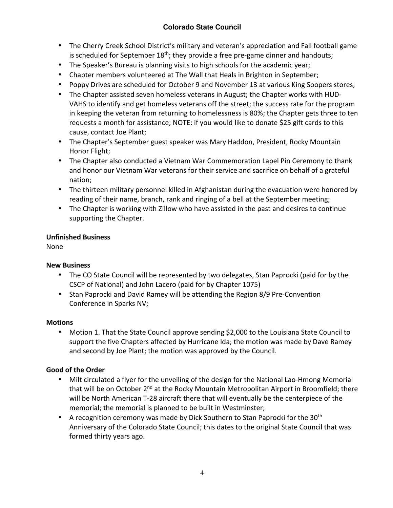## **Colorado State Council**

- The Cherry Creek School District's military and veteran's appreciation and Fall football game is scheduled for September  $18<sup>th</sup>$ ; they provide a free pre-game dinner and handouts;
- The Speaker's Bureau is planning visits to high schools for the academic year;
- Chapter members volunteered at The Wall that Heals in Brighton in September;
- Poppy Drives are scheduled for October 9 and November 13 at various King Soopers stores;
- The Chapter assisted seven homeless veterans in August; the Chapter works with HUD-VAHS to identify and get homeless veterans off the street; the success rate for the program in keeping the veteran from returning to homelessness is 80%; the Chapter gets three to ten requests a month for assistance; NOTE: if you would like to donate \$25 gift cards to this cause, contact Joe Plant;
- The Chapter's September guest speaker was Mary Haddon, President, Rocky Mountain Honor Flight;
- The Chapter also conducted a Vietnam War Commemoration Lapel Pin Ceremony to thank and honor our Vietnam War veterans for their service and sacrifice on behalf of a grateful nation;
- The thirteen military personnel killed in Afghanistan during the evacuation were honored by reading of their name, branch, rank and ringing of a bell at the September meeting;
- The Chapter is working with Zillow who have assisted in the past and desires to continue supporting the Chapter.

#### **Unfinished Business**

None

#### **New Business**

- The CO State Council will be represented by two delegates, Stan Paprocki (paid for by the CSCP of National) and John Lacero (paid for by Chapter 1075)
- Stan Paprocki and David Ramey will be attending the Region 8/9 Pre-Convention Conference in Sparks NV;

#### **Motions**

• Motion 1. That the State Council approve sending \$2,000 to the Louisiana State Council to support the five Chapters affected by Hurricane Ida; the motion was made by Dave Ramey and second by Joe Plant; the motion was approved by the Council.

#### **Good of the Order**

- Milt circulated a flyer for the unveiling of the design for the National Lao-Hmong Memorial that will be on October 2<sup>nd</sup> at the Rocky Mountain Metropolitan Airport in Broomfield; there will be North American T-28 aircraft there that will eventually be the centerpiece of the memorial; the memorial is planned to be built in Westminster;
- A recognition ceremony was made by Dick Southern to Stan Paprocki for the  $30<sup>th</sup>$ Anniversary of the Colorado State Council; this dates to the original State Council that was formed thirty years ago.